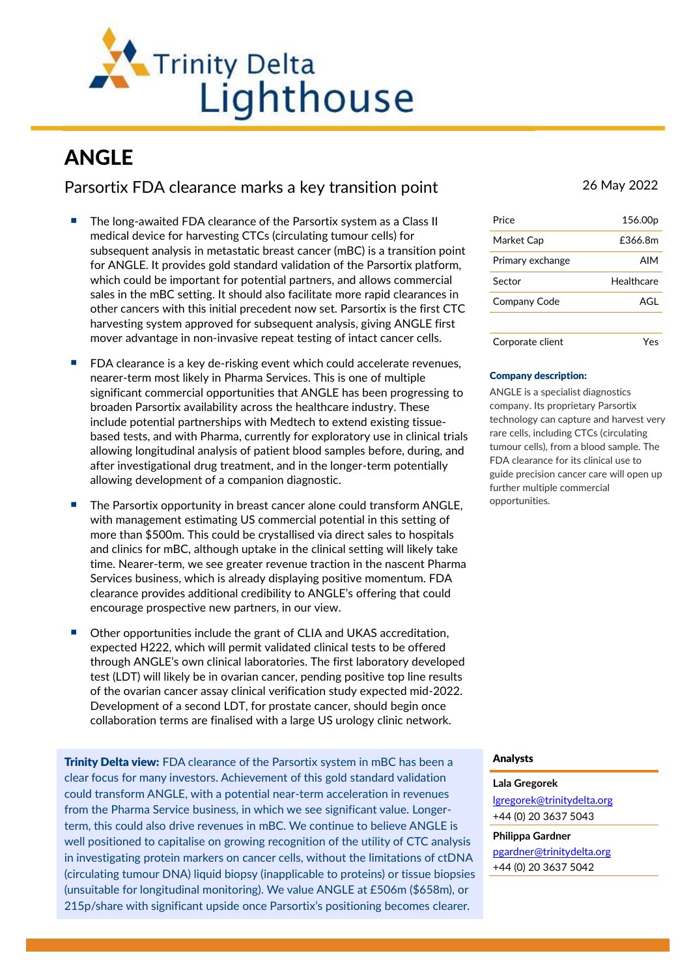

# ANGLE

Parsortix FDA clearance marks a key transition point 26 May 2022

- The long-awaited FDA clearance of the Parsortix system as a Class II medical device for harvesting CTCs (circulating tumour cells) for subsequent analysis in metastatic breast cancer (mBC) is a transition point for ANGLE. It provides gold standard validation of the Parsortix platform, which could be important for potential partners, and allows commercial sales in the mBC setting. It should also facilitate more rapid clearances in other cancers with this initial precedent now set. Parsortix is the first CTC harvesting system approved for subsequent analysis, giving ANGLE first mover advantage in non-invasive repeat testing of intact cancer cells.
- $\blacksquare$  FDA clearance is a key de-risking event which could accelerate revenues, nearer-term most likely in Pharma Services. This is one of multiple significant commercial opportunities that ANGLE has been progressing to broaden Parsortix availability across the healthcare industry. These include potential partnerships with Medtech to extend existing tissuebased tests, and with Pharma, currently for exploratory use in clinical trials allowing longitudinal analysis of patient blood samples before, during, and after investigational drug treatment, and in the longer-term potentially allowing development of a companion diagnostic.
- The Parsortix opportunity in breast cancer alone could transform ANGLE, with management estimating US commercial potential in this setting of more than \$500m. This could be crystallised via direct sales to hospitals and clinics for mBC, although uptake in the clinical setting will likely take time. Nearer-term, we see greater revenue traction in the nascent Pharma Services business, which is already displaying positive momentum. FDA clearance provides additional credibility to ANGLE's offering that could encourage prospective new partners, in our view.
- Other opportunities include the grant of CLIA and UKAS accreditation, expected H222, which will permit validated clinical tests to be offered through ANGLE's own clinical laboratories. The first laboratory developed test (LDT) will likely be in ovarian cancer, pending positive top line results of the ovarian cancer assay clinical verification study expected mid-2022. Development of a second LDT, for prostate cancer, should begin once collaboration terms are finalised with a large US urology clinic network.

**Trinity Delta view:** FDA clearance of the Parsortix system in mBC has been a clear focus for many investors. Achievement of this gold standard validation could transform ANGLE, with a potential near-term acceleration in revenues from the Pharma Service business, in which we see significant value. Longerterm, this could also drive revenues in mBC. We continue to believe ANGLE is well positioned to capitalise on growing recognition of the utility of CTC analysis in investigating protein markers on cancer cells, without the limitations of ctDNA (circulating tumour DNA) liquid biopsy (inapplicable to proteins) or tissue biopsies (unsuitable for longitudinal monitoring). We value ANGLE at £506m (\$658m), or 215p/share with significant upside once Parsortix's positioning becomes clearer.

| Price            | 156.00 <sub>p</sub> |
|------------------|---------------------|
| Market Cap       | £366.8m             |
| Primary exchange | AIM                 |
| Sector           | Healthcare          |
| Company Code     | AGL                 |
|                  |                     |
| Corporate client |                     |

## Company description:

ANGLE is a specialist diagnostics company. Its proprietary Parsortix technology can capture and harvest very rare cells, including CTCs (circulating tumour cells), from a blood sample. The FDA clearance for its clinical use to guide precision cancer care will open up further multiple commercial opportunities.

## Analysts

#### **Lala Gregorek**

lgregorek@trinitydelta.org +44 (0) 20 3637 5043

#### **Philippa Gardner**

pgardner@trinitydelta.org +44 (0) 20 3637 5042